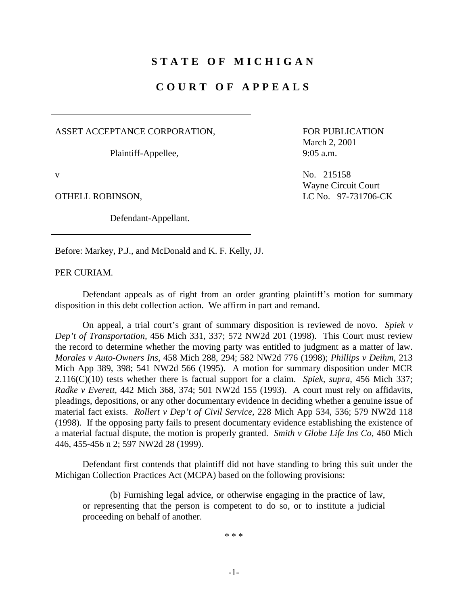## **STATE OF MICHIGAN**

## **COURT OF APPEALS**

ASSET ACCEPTANCE CORPORATION,

Plaintiff-Appellee,

Defendant-Appellant.

FOR PUBLICATION March 2, 2001 9:05 a.m.

v No. 215158 Wayne Circuit Court OTHELL ROBINSON, LC No. 97-731706-CK

Before: Markey, P.J., and McDonald and K. F. Kelly, JJ.

PER CURIAM.

Defendant appeals as of right from an order granting plaintiff's motion for summary disposition in this debt collection action. We affirm in part and remand.

On appeal, a trial court's grant of summary disposition is reviewed de novo. *Spiek v Dep't of Transportation,* 456 Mich 331, 337; 572 NW2d 201 (1998). This Court must review the record to determine whether the moving party was entitled to judgment as a matter of law. *Morales v Auto-Owners Ins,* 458 Mich 288, 294; 582 NW2d 776 (1998); *Phillips v Deihm,* 213 Mich App 389, 398; 541 NW2d 566 (1995). A motion for summary disposition under MCR 2.116(C)(10) tests whether there is factual support for a claim. *Spiek, supra,* 456 Mich 337; *Radke v Everett,* 442 Mich 368, 374; 501 NW2d 155 (1993). A court must rely on affidavits, pleadings, depositions, or any other documentary evidence in deciding whether a genuine issue of material fact exists. *Rollert v Dep't of Civil Service,* 228 Mich App 534, 536; 579 NW2d 118 (1998). If the opposing party fails to present documentary evidence establishing the existence of a material factual dispute, the motion is properly granted. *Smith v Globe Life Ins Co,* 460 Mich 446, 455-456 n 2; 597 NW2d 28 (1999).

Defendant first contends that plaintiff did not have standing to bring this suit under the Michigan Collection Practices Act (MCPA) based on the following provisions:

(b) Furnishing legal advice, or otherwise engaging in the practice of law, or representing that the person is competent to do so, or to institute a judicial proceeding on behalf of another.

\* \* \*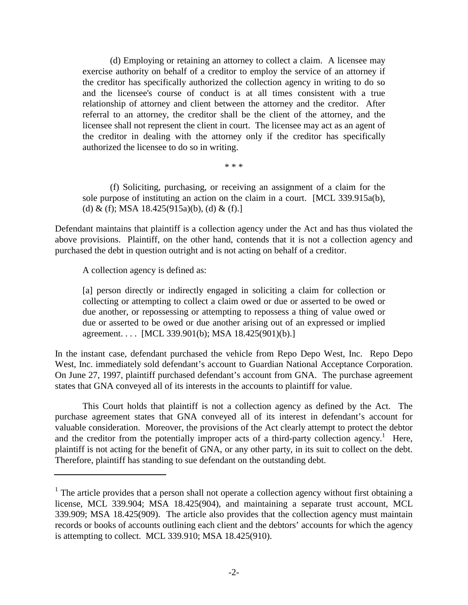(d) Employing or retaining an attorney to collect a claim. A licensee may exercise authority on behalf of a creditor to employ the service of an attorney if the creditor has specifically authorized the collection agency in writing to do so and the licensee's course of conduct is at all times consistent with a true relationship of attorney and client between the attorney and the creditor. After referral to an attorney, the creditor shall be the client of the attorney, and the licensee shall not represent the client in court. The licensee may act as an agent of the creditor in dealing with the attorney only if the creditor has specifically authorized the licensee to do so in writing.

\* \* \*

(f) Soliciting, purchasing, or receiving an assignment of a claim for the sole purpose of instituting an action on the claim in a court. [MCL 339.915a(b), (d) & (f); MSA  $18.425(915a)(b)$ , (d) & (f).]

Defendant maintains that plaintiff is a collection agency under the Act and has thus violated the above provisions. Plaintiff, on the other hand, contends that it is not a collection agency and purchased the debt in question outright and is not acting on behalf of a creditor.

A collection agency is defined as:

[a] person directly or indirectly engaged in soliciting a claim for collection or collecting or attempting to collect a claim owed or due or asserted to be owed or due another, or repossessing or attempting to repossess a thing of value owed or due or asserted to be owed or due another arising out of an expressed or implied agreement. . . . [MCL 339.901(b); MSA 18.425(901)(b).]

In the instant case, defendant purchased the vehicle from Repo Depo West, Inc. Repo Depo West, Inc. immediately sold defendant's account to Guardian National Acceptance Corporation. On June 27, 1997, plaintiff purchased defendant's account from GNA. The purchase agreement states that GNA conveyed all of its interests in the accounts to plaintiff for value.

This Court holds that plaintiff is not a collection agency as defined by the Act. The purchase agreement states that GNA conveyed all of its interest in defendant's account for valuable consideration. Moreover, the provisions of the Act clearly attempt to protect the debtor and the creditor from the potentially improper acts of a third-party collection agency.<sup>1</sup> Here, plaintiff is not acting for the benefit of GNA, or any other party, in its suit to collect on the debt. Therefore, plaintiff has standing to sue defendant on the outstanding debt.

 $<sup>1</sup>$  The article provides that a person shall not operate a collection agency without first obtaining a</sup> license, MCL 339.904; MSA 18.425(904), and maintaining a separate trust account, MCL 339.909; MSA 18.425(909). The article also provides that the collection agency must maintain records or books of accounts outlining each client and the debtors' accounts for which the agency is attempting to collect. MCL 339.910; MSA 18.425(910).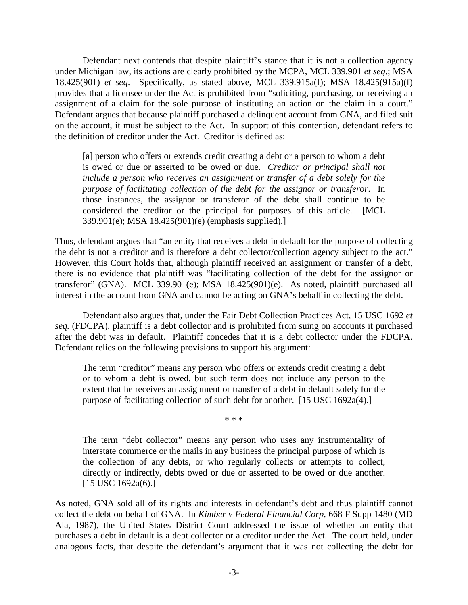Defendant next contends that despite plaintiff's stance that it is not a collection agency under Michigan law, its actions are clearly prohibited by the MCPA, MCL 339.901 *et seq.*; MSA 18.425(901) *et seq*. Specifically, as stated above, MCL 339.915a(f); MSA 18.425(915a)(f) provides that a licensee under the Act is prohibited from "soliciting, purchasing, or receiving an assignment of a claim for the sole purpose of instituting an action on the claim in a court." Defendant argues that because plaintiff purchased a delinquent account from GNA, and filed suit on the account, it must be subject to the Act. In support of this contention, defendant refers to the definition of creditor under the Act. Creditor is defined as:

[a] person who offers or extends credit creating a debt or a person to whom a debt is owed or due or asserted to be owed or due. *Creditor or principal shall not include a person who receives an assignment or transfer of a debt solely for the purpose of facilitating collection of the debt for the assignor or transferor*. In those instances, the assignor or transferor of the debt shall continue to be considered the creditor or the principal for purposes of this article. [MCL 339.901(e); MSA 18.425(901)(e) (emphasis supplied).]

Thus, defendant argues that "an entity that receives a debt in default for the purpose of collecting the debt is not a creditor and is therefore a debt collector/collection agency subject to the act." However, this Court holds that, although plaintiff received an assignment or transfer of a debt, there is no evidence that plaintiff was "facilitating collection of the debt for the assignor or transferor" (GNA). MCL 339.901(e); MSA 18.425(901)(e). As noted, plaintiff purchased all interest in the account from GNA and cannot be acting on GNA's behalf in collecting the debt.

Defendant also argues that, under the Fair Debt Collection Practices Act, 15 USC 1692 *et seq.* (FDCPA), plaintiff is a debt collector and is prohibited from suing on accounts it purchased after the debt was in default. Plaintiff concedes that it is a debt collector under the FDCPA. Defendant relies on the following provisions to support his argument:

The term "creditor" means any person who offers or extends credit creating a debt or to whom a debt is owed, but such term does not include any person to the extent that he receives an assignment or transfer of a debt in default solely for the purpose of facilitating collection of such debt for another. [15 USC 1692a(4).]

\* \* \*

The term "debt collector" means any person who uses any instrumentality of interstate commerce or the mails in any business the principal purpose of which is the collection of any debts, or who regularly collects or attempts to collect, directly or indirectly, debts owed or due or asserted to be owed or due another. [15 USC 1692a(6).]

As noted, GNA sold all of its rights and interests in defendant's debt and thus plaintiff cannot collect the debt on behalf of GNA. In *Kimber v Federal Financial Corp,* 668 F Supp 1480 (MD Ala, 1987), the United States District Court addressed the issue of whether an entity that purchases a debt in default is a debt collector or a creditor under the Act. The court held, under analogous facts, that despite the defendant's argument that it was not collecting the debt for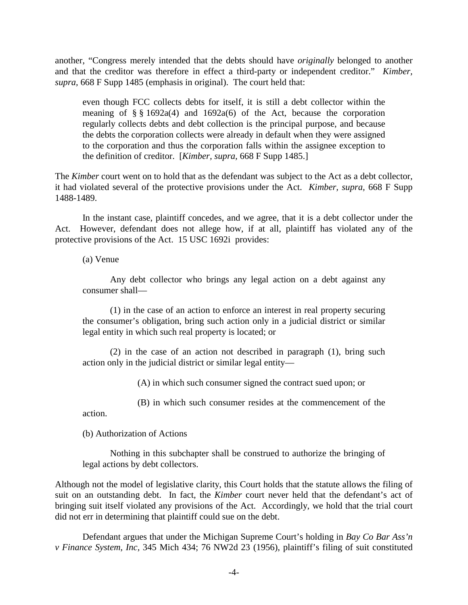another, "Congress merely intended that the debts should have *originally* belonged to another and that the creditor was therefore in effect a third-party or independent creditor." *Kimber, supra,* 668 F Supp 1485 (emphasis in original). The court held that:

even though FCC collects debts for itself, it is still a debt collector within the meaning of  $\S$  § 1692a(4) and 1692a(6) of the Act, because the corporation regularly collects debts and debt collection is the principal purpose, and because the debts the corporation collects were already in default when they were assigned to the corporation and thus the corporation falls within the assignee exception to the definition of creditor. [*Kimber, supra,* 668 F Supp 1485.]

The *Kimber* court went on to hold that as the defendant was subject to the Act as a debt collector, it had violated several of the protective provisions under the Act. *Kimber, supra,* 668 F Supp 1488-1489.

In the instant case, plaintiff concedes, and we agree, that it is a debt collector under the Act. However, defendant does not allege how, if at all, plaintiff has violated any of the protective provisions of the Act. 15 USC 1692i provides:

(a) Venue

Any debt collector who brings any legal action on a debt against any consumer shall—

(1) in the case of an action to enforce an interest in real property securing the consumer's obligation, bring such action only in a judicial district or similar legal entity in which such real property is located; or

(2) in the case of an action not described in paragraph (1), bring such action only in the judicial district or similar legal entity—

(A) in which such consumer signed the contract sued upon; or

(B) in which such consumer resides at the commencement of the

action.

(b) Authorization of Actions

Nothing in this subchapter shall be construed to authorize the bringing of legal actions by debt collectors.

Although not the model of legislative clarity, this Court holds that the statute allows the filing of suit on an outstanding debt. In fact, the *Kimber* court never held that the defendant's act of bringing suit itself violated any provisions of the Act. Accordingly, we hold that the trial court did not err in determining that plaintiff could sue on the debt.

Defendant argues that under the Michigan Supreme Court's holding in *Bay Co Bar Ass'n v Finance System, Inc,* 345 Mich 434; 76 NW2d 23 (1956), plaintiff's filing of suit constituted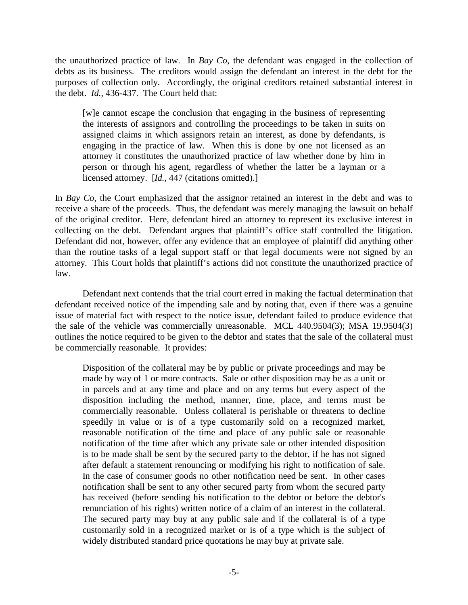the unauthorized practice of law. In *Bay Co,* the defendant was engaged in the collection of debts as its business. The creditors would assign the defendant an interest in the debt for the purposes of collection only. Accordingly, the original creditors retained substantial interest in the debt. *Id.,* 436-437. The Court held that:

[w]e cannot escape the conclusion that engaging in the business of representing the interests of assignors and controlling the proceedings to be taken in suits on assigned claims in which assignors retain an interest, as done by defendants, is engaging in the practice of law. When this is done by one not licensed as an attorney it constitutes the unauthorized practice of law whether done by him in person or through his agent, regardless of whether the latter be a layman or a licensed attorney. [*Id.,* 447 (citations omitted).]

In *Bay Co,* the Court emphasized that the assignor retained an interest in the debt and was to receive a share of the proceeds. Thus, the defendant was merely managing the lawsuit on behalf of the original creditor. Here, defendant hired an attorney to represent its exclusive interest in collecting on the debt. Defendant argues that plaintiff's office staff controlled the litigation. Defendant did not, however, offer any evidence that an employee of plaintiff did anything other than the routine tasks of a legal support staff or that legal documents were not signed by an attorney. This Court holds that plaintiff's actions did not constitute the unauthorized practice of law.

Defendant next contends that the trial court erred in making the factual determination that defendant received notice of the impending sale and by noting that, even if there was a genuine issue of material fact with respect to the notice issue, defendant failed to produce evidence that the sale of the vehicle was commercially unreasonable. MCL 440.9504(3); MSA 19.9504(3) outlines the notice required to be given to the debtor and states that the sale of the collateral must be commercially reasonable. It provides:

Disposition of the collateral may be by public or private proceedings and may be made by way of 1 or more contracts. Sale or other disposition may be as a unit or in parcels and at any time and place and on any terms but every aspect of the disposition including the method, manner, time, place, and terms must be commercially reasonable. Unless collateral is perishable or threatens to decline speedily in value or is of a type customarily sold on a recognized market, reasonable notification of the time and place of any public sale or reasonable notification of the time after which any private sale or other intended disposition is to be made shall be sent by the secured party to the debtor, if he has not signed after default a statement renouncing or modifying his right to notification of sale. In the case of consumer goods no other notification need be sent. In other cases notification shall be sent to any other secured party from whom the secured party has received (before sending his notification to the debtor or before the debtor's renunciation of his rights) written notice of a claim of an interest in the collateral. The secured party may buy at any public sale and if the collateral is of a type customarily sold in a recognized market or is of a type which is the subject of widely distributed standard price quotations he may buy at private sale.